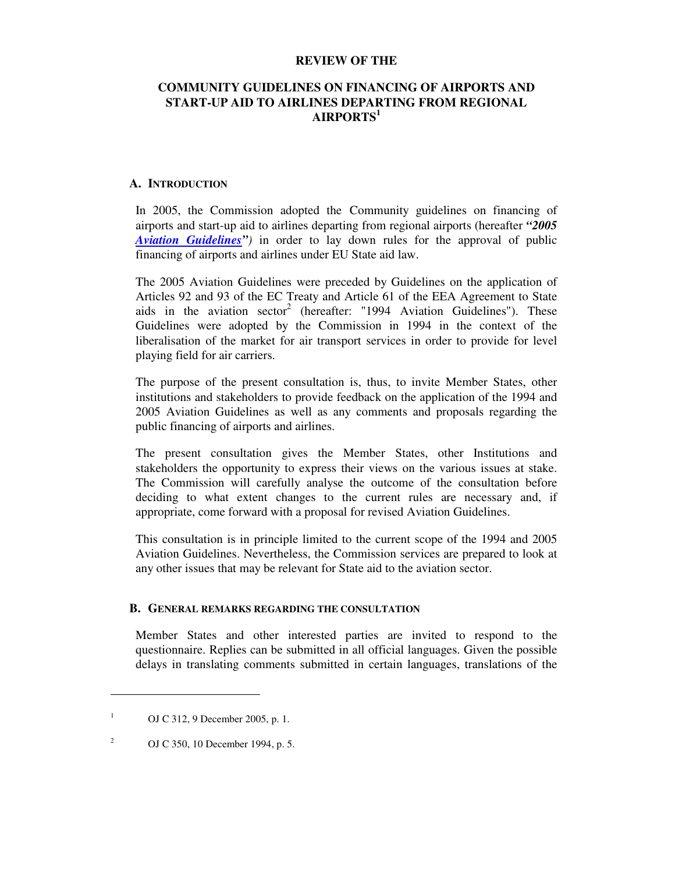#### **REVIEW OF THE**

## **COMMUNITY GUIDELINES ON FINANCING OF AIRPORTS AND START-UP AID TO AIRLINES DEPARTING FROM REGIONAL AIRPORTS<sup>1</sup>**

#### **A. INTRODUCTION**

In 2005, the Commission adopted the Community guidelines on financing of airports and start-up aid to airlines departing from regional airports (hereafter *"2005 Aviation Guidelines")* in order to lay down rules for the approval of public financing of airports and airlines under EU State aid law.

The 2005 Aviation Guidelines were preceded by Guidelines on the application of Articles 92 and 93 of the EC Treaty and Article 61 of the EEA Agreement to State aids in the aviation sector<sup>2</sup> (hereafter: "1994 Aviation Guidelines"). These Guidelines were adopted by the Commission in 1994 in the context of the liberalisation of the market for air transport services in order to provide for level playing field for air carriers.

The purpose of the present consultation is, thus, to invite Member States, other institutions and stakeholders to provide feedback on the application of the 1994 and 2005 Aviation Guidelines as well as any comments and proposals regarding the public financing of airports and airlines.

The present consultation gives the Member States, other Institutions and stakeholders the opportunity to express their views on the various issues at stake. The Commission will carefully analyse the outcome of the consultation before deciding to what extent changes to the current rules are necessary and, if appropriate, come forward with a proposal for revised Aviation Guidelines.

This consultation is in principle limited to the current scope of the 1994 and 2005 Aviation Guidelines. Nevertheless, the Commission services are prepared to look at any other issues that may be relevant for State aid to the aviation sector.

#### **B. GENERAL REMARKS REGARDING THE CONSULTATION**

Member States and other interested parties are invited to respond to the questionnaire. Replies can be submitted in all official languages. Given the possible delays in translating comments submitted in certain languages, translations of the

-

2 OJ C 350, 10 December 1994, p. 5.

<sup>1</sup> OJ C 312, 9 December 2005, p. 1.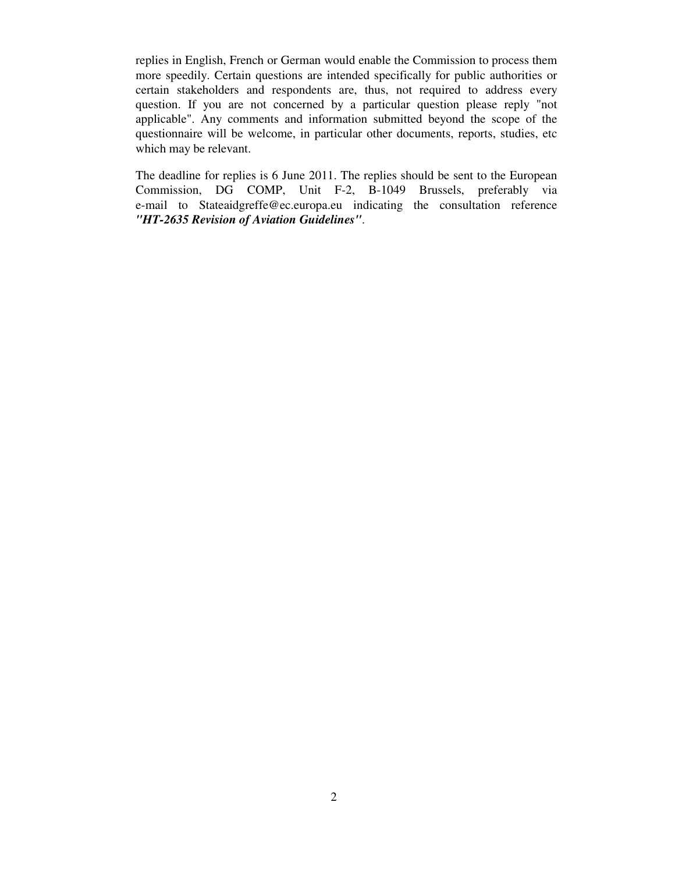replies in English, French or German would enable the Commission to process them more speedily. Certain questions are intended specifically for public authorities or certain stakeholders and respondents are, thus, not required to address every question. If you are not concerned by a particular question please reply "not applicable". Any comments and information submitted beyond the scope of the questionnaire will be welcome, in particular other documents, reports, studies, etc which may be relevant.

The deadline for replies is 6 June 2011. The replies should be sent to the European Commission, DG COMP, Unit F-2, B-1049 Brussels, preferably via e-mail to Stateaidgreffe@ec.europa.eu indicating the consultation reference *"HT-2635 Revision of Aviation Guidelines"*.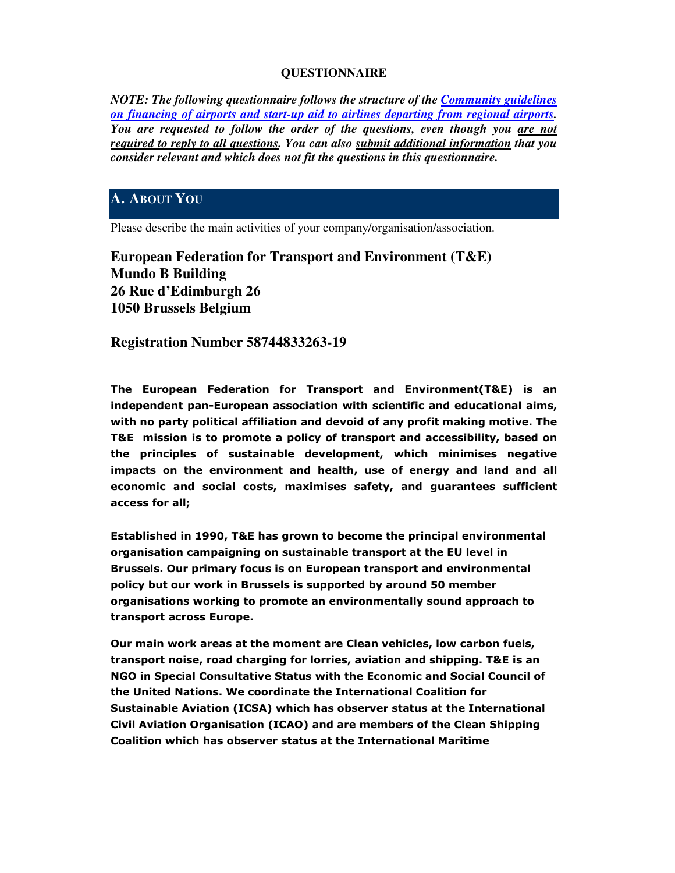## **QUESTIONNAIRE**

*NOTE: The following questionnaire follows the structure of the Community guidelines on financing of airports and start-up aid to airlines departing from regional airports. You are requested to follow the order of the questions, even though you are not required to reply to all questions. You can also submit additional information that you consider relevant and which does not fit the questions in this questionnaire.*

## **A. ABOUT YOU**

Please describe the main activities of your company/organisation/association.

**European Federation for Transport and Environment (T&E) Mundo B Building 26 Rue d'Edimburgh 26 1050 Brussels Belgium** 

**Registration Number 58744833263-19**

The European Federation for Transport and Environment(T&E) is an independent pan-European association with scientific and educational aims, with no party political affiliation and devoid of any profit making motive. The T&E mission is to promote a policy of transport and accessibility, based on the principles of sustainable development, which minimises negative impacts on the environment and health, use of energy and land and all economic and social costs, maximises safety, and guarantees sufficient access for all;

Established in 1990, T&E has grown to become the principal environmental organisation campaigning on sustainable transport at the EU level in Brussels. Our primary focus is on European transport and environmental policy but our work in Brussels is supported by around 50 member organisations working to promote an environmentally sound approach to transport across Europe.

Our main work areas at the moment are Clean vehicles, low carbon fuels, transport noise, road charging for lorries, aviation and shipping. T&E is an NGO in Special Consultative Status with the Economic and Social Council of the United Nations. We coordinate the International Coalition for Sustainable Aviation (ICSA) which has observer status at the International Civil Aviation Organisation (ICAO) and are members of the Clean Shipping Coalition which has observer status at the International Maritime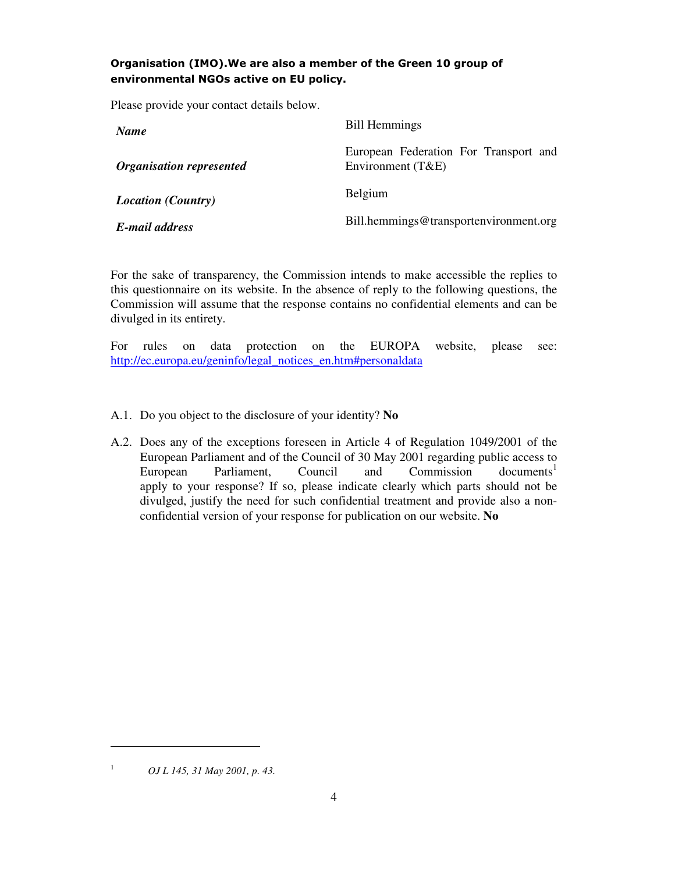## Organisation (IMO).We are also a member of the Green 10 group of environmental NGOs active on EU policy.

Please provide your contact details below.

| <b>Name</b>                     | <b>Bill Hemmings</b>                                       |
|---------------------------------|------------------------------------------------------------|
| <b>Organisation represented</b> | European Federation For Transport and<br>Environment (T&E) |
| <b>Location</b> (Country)       | Belgium                                                    |
| E-mail address                  | Bill.hemmings@transportenvironment.org                     |

For the sake of transparency, the Commission intends to make accessible the replies to this questionnaire on its website. In the absence of reply to the following questions, the Commission will assume that the response contains no confidential elements and can be divulged in its entirety.

For rules on data protection on the EUROPA website, please see: http://ec.europa.eu/geninfo/legal\_notices\_en.htm#personaldata

- A.1. Do you object to the disclosure of your identity? **No**
- A.2. Does any of the exceptions foreseen in Article 4 of Regulation 1049/2001 of the European Parliament and of the Council of 30 May 2001 regarding public access to European Parliament, Council and Commission documents<sup>1</sup> apply to your response? If so, please indicate clearly which parts should not be divulged, justify the need for such confidential treatment and provide also a nonconfidential version of your response for publication on our website. **No**

*OJ L 145, 31 May 2001, p. 43.*

-1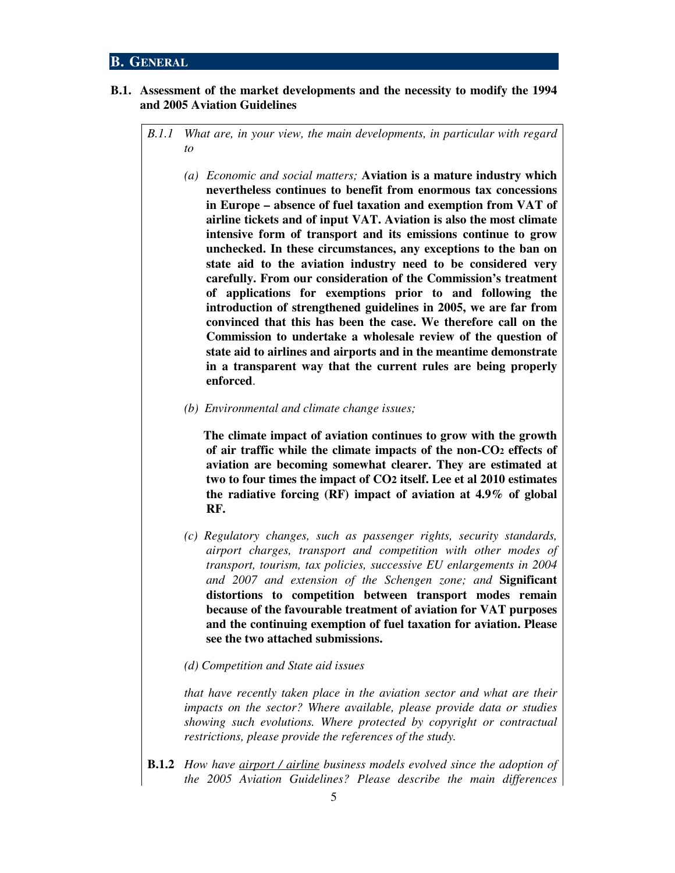#### **B. GENERAL**

#### **B.1. Assessment of the market developments and the necessity to modify the 1994 and 2005 Aviation Guidelines**

*B.1.1 What are, in your view, the main developments, in particular with regard to* 

- *(a) Economic and social matters;* **Aviation is a mature industry which nevertheless continues to benefit from enormous tax concessions in Europe – absence of fuel taxation and exemption from VAT of airline tickets and of input VAT. Aviation is also the most climate intensive form of transport and its emissions continue to grow unchecked. In these circumstances, any exceptions to the ban on state aid to the aviation industry need to be considered very carefully. From our consideration of the Commission's treatment of applications for exemptions prior to and following the introduction of strengthened guidelines in 2005, we are far from convinced that this has been the case. We therefore call on the Commission to undertake a wholesale review of the question of state aid to airlines and airports and in the meantime demonstrate in a transparent way that the current rules are being properly enforced**.
- *(b) Environmental and climate change issues;*

**The climate impact of aviation continues to grow with the growth of air traffic while the climate impacts of the non-CO2 effects of aviation are becoming somewhat clearer. They are estimated at two to four times the impact of CO2 itself. Lee et al 2010 estimates the radiative forcing (RF) impact of aviation at 4.9% of global RF.** 

- *(c) Regulatory changes, such as passenger rights, security standards, airport charges, transport and competition with other modes of transport, tourism, tax policies, successive EU enlargements in 2004 and 2007 and extension of the Schengen zone; and* **Significant distortions to competition between transport modes remain because of the favourable treatment of aviation for VAT purposes and the continuing exemption of fuel taxation for aviation. Please see the two attached submissions.**
- *(d) Competition and State aid issues*

 *that have recently taken place in the aviation sector and what are their impacts on the sector? Where available, please provide data or studies showing such evolutions. Where protected by copyright or contractual restrictions, please provide the references of the study.* 

**B.1.2** *How have airport / airline business models evolved since the adoption of the 2005 Aviation Guidelines? Please describe the main differences*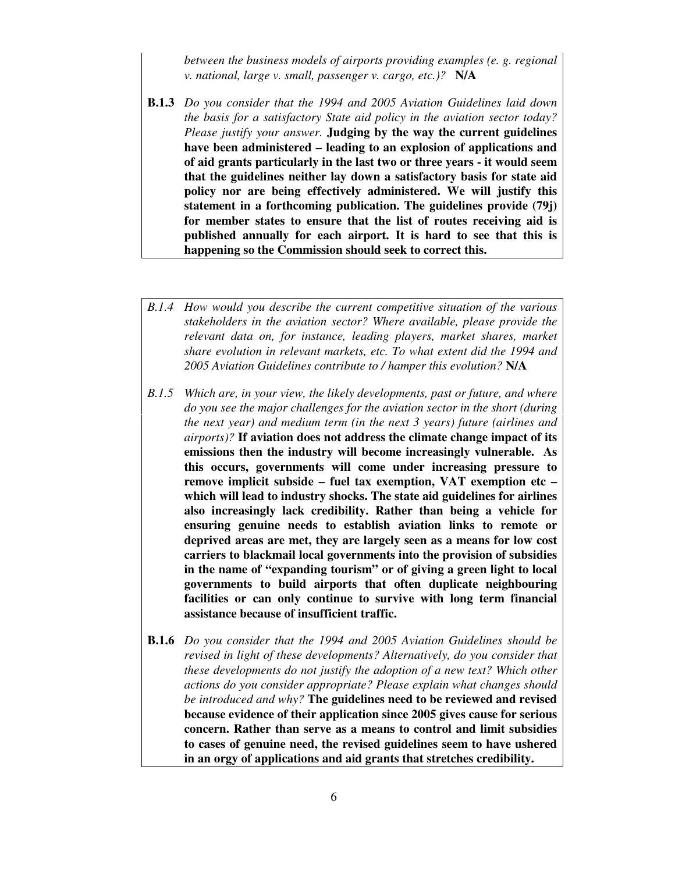*between the business models of airports providing examples (e. g. regional v. national, large v. small, passenger v. cargo, etc.)?* **N/A** 

- **B.1.3** *Do you consider that the 1994 and 2005 Aviation Guidelines laid down the basis for a satisfactory State aid policy in the aviation sector today? Please justify your answer.* **Judging by the way the current guidelines have been administered – leading to an explosion of applications and of aid grants particularly in the last two or three years - it would seem that the guidelines neither lay down a satisfactory basis for state aid policy nor are being effectively administered. We will justify this statement in a forthcoming publication. The guidelines provide (79j) for member states to ensure that the list of routes receiving aid is published annually for each airport. It is hard to see that this is happening so the Commission should seek to correct this.**
- *B.1.4 How would you describe the current competitive situation of the various stakeholders in the aviation sector? Where available, please provide the relevant data on, for instance, leading players, market shares, market share evolution in relevant markets, etc. To what extent did the 1994 and 2005 Aviation Guidelines contribute to / hamper this evolution?* **N/A**
- *B.1.5 Which are, in your view, the likely developments, past or future, and where do you see the major challenges for the aviation sector in the short (during the next year) and medium term (in the next 3 years) future (airlines and airports)?* **If aviation does not address the climate change impact of its emissions then the industry will become increasingly vulnerable. As this occurs, governments will come under increasing pressure to remove implicit subside – fuel tax exemption, VAT exemption etc – which will lead to industry shocks. The state aid guidelines for airlines also increasingly lack credibility. Rather than being a vehicle for ensuring genuine needs to establish aviation links to remote or deprived areas are met, they are largely seen as a means for low cost carriers to blackmail local governments into the provision of subsidies in the name of "expanding tourism" or of giving a green light to local governments to build airports that often duplicate neighbouring facilities or can only continue to survive with long term financial assistance because of insufficient traffic.**
- **B.1.6** *Do you consider that the 1994 and 2005 Aviation Guidelines should be revised in light of these developments? Alternatively, do you consider that these developments do not justify the adoption of a new text? Which other actions do you consider appropriate? Please explain what changes should be introduced and why?* **The guidelines need to be reviewed and revised because evidence of their application since 2005 gives cause for serious concern. Rather than serve as a means to control and limit subsidies to cases of genuine need, the revised guidelines seem to have ushered in an orgy of applications and aid grants that stretches credibility.**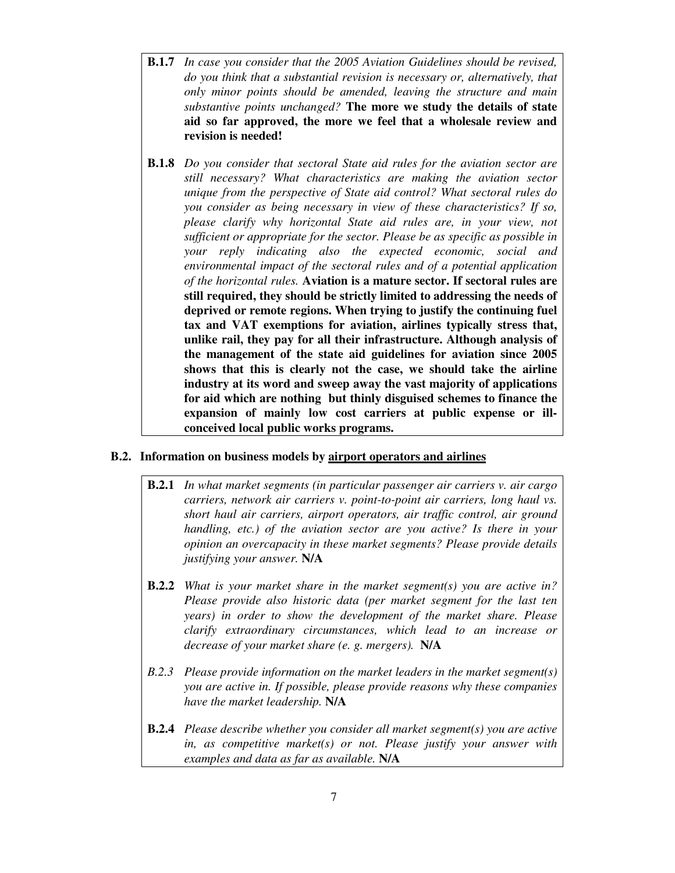- **B.1.7** *In case you consider that the 2005 Aviation Guidelines should be revised, do you think that a substantial revision is necessary or, alternatively, that only minor points should be amended, leaving the structure and main substantive points unchanged?* **The more we study the details of state aid so far approved, the more we feel that a wholesale review and revision is needed!**
- **B.1.8** *Do you consider that sectoral State aid rules for the aviation sector are still necessary? What characteristics are making the aviation sector unique from the perspective of State aid control? What sectoral rules do you consider as being necessary in view of these characteristics? If so, please clarify why horizontal State aid rules are, in your view, not sufficient or appropriate for the sector. Please be as specific as possible in your reply indicating also the expected economic, social and environmental impact of the sectoral rules and of a potential application of the horizontal rules.* **Aviation is a mature sector. If sectoral rules are still required, they should be strictly limited to addressing the needs of deprived or remote regions. When trying to justify the continuing fuel tax and VAT exemptions for aviation, airlines typically stress that, unlike rail, they pay for all their infrastructure. Although analysis of the management of the state aid guidelines for aviation since 2005 shows that this is clearly not the case, we should take the airline industry at its word and sweep away the vast majority of applications for aid which are nothing but thinly disguised schemes to finance the expansion of mainly low cost carriers at public expense or illconceived local public works programs.**

#### **B.2. Information on business models by airport operators and airlines**

- **B.2.1** *In what market segments (in particular passenger air carriers v. air cargo carriers, network air carriers v. point-to-point air carriers, long haul vs. short haul air carriers, airport operators, air traffic control, air ground handling, etc.) of the aviation sector are you active? Is there in your opinion an overcapacity in these market segments? Please provide details justifying your answer.* **N/A**
- **B.2.2** *What is your market share in the market segment(s) you are active in? Please provide also historic data (per market segment for the last ten years) in order to show the development of the market share. Please clarify extraordinary circumstances, which lead to an increase or decrease of your market share (e. g. mergers).* **N/A**
- *B.2.3 Please provide information on the market leaders in the market segment(s) you are active in. If possible, please provide reasons why these companies have the market leadership.* **N/A**
- **B.2.4** *Please describe whether you consider all market segment(s) you are active in, as competitive market(s) or not. Please justify your answer with examples and data as far as available.* **N/A**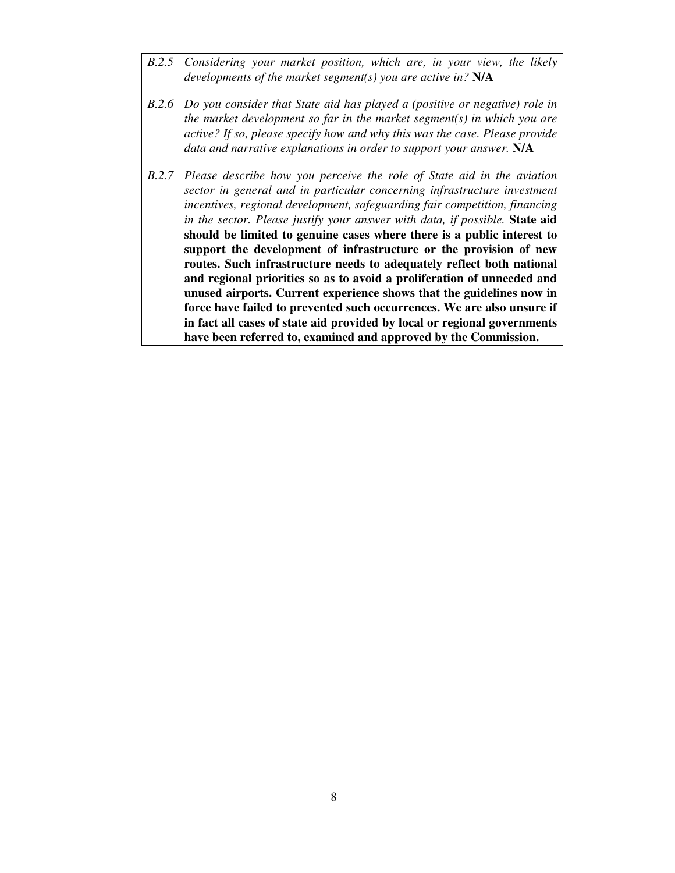- *B.2.5 Considering your market position, which are, in your view, the likely developments of the market segment(s) you are active in?* **N/A**
- *B.2.6 Do you consider that State aid has played a (positive or negative) role in the market development so far in the market segment(s) in which you are active? If so, please specify how and why this was the case. Please provide data and narrative explanations in order to support your answer.* **N/A**
- *B.2.7 Please describe how you perceive the role of State aid in the aviation sector in general and in particular concerning infrastructure investment incentives, regional development, safeguarding fair competition, financing in the sector. Please justify your answer with data, if possible.* **State aid should be limited to genuine cases where there is a public interest to support the development of infrastructure or the provision of new routes. Such infrastructure needs to adequately reflect both national and regional priorities so as to avoid a proliferation of unneeded and unused airports. Current experience shows that the guidelines now in force have failed to prevented such occurrences. We are also unsure if in fact all cases of state aid provided by local or regional governments have been referred to, examined and approved by the Commission.**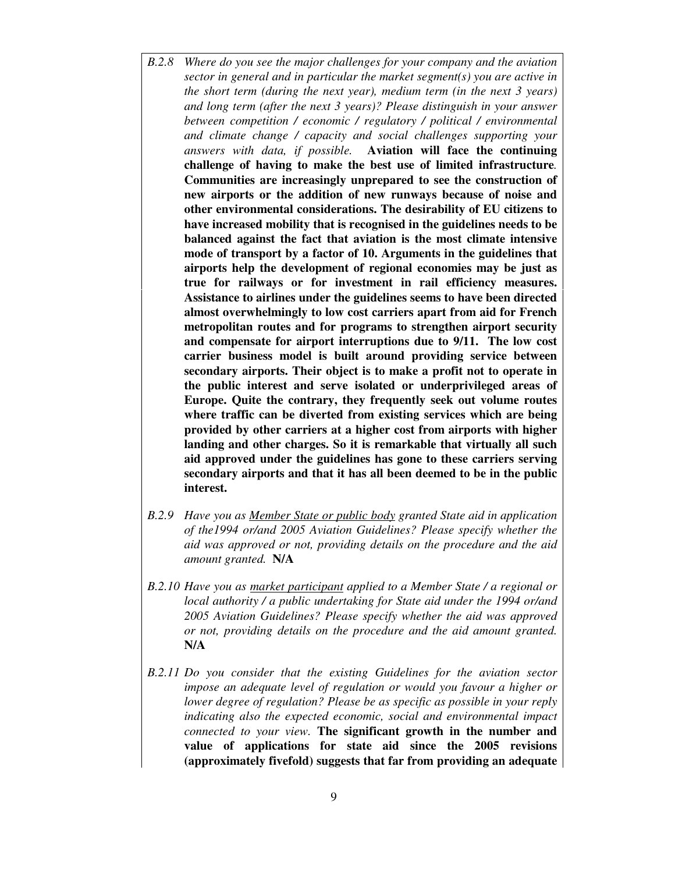- *B.2.8 Where do you see the major challenges for your company and the aviation sector in general and in particular the market segment(s) you are active in the short term (during the next year), medium term (in the next 3 years) and long term (after the next 3 years)? Please distinguish in your answer between competition / economic / regulatory / political / environmental and climate change / capacity and social challenges supporting your answers with data, if possible.* **Aviation will face the continuing challenge of having to make the best use of limited infrastructure***.*  **Communities are increasingly unprepared to see the construction of new airports or the addition of new runways because of noise and other environmental considerations. The desirability of EU citizens to have increased mobility that is recognised in the guidelines needs to be balanced against the fact that aviation is the most climate intensive mode of transport by a factor of 10. Arguments in the guidelines that airports help the development of regional economies may be just as true for railways or for investment in rail efficiency measures. Assistance to airlines under the guidelines seems to have been directed almost overwhelmingly to low cost carriers apart from aid for French metropolitan routes and for programs to strengthen airport security and compensate for airport interruptions due to 9/11. The low cost carrier business model is built around providing service between secondary airports. Their object is to make a profit not to operate in the public interest and serve isolated or underprivileged areas of Europe. Quite the contrary, they frequently seek out volume routes where traffic can be diverted from existing services which are being provided by other carriers at a higher cost from airports with higher landing and other charges. So it is remarkable that virtually all such aid approved under the guidelines has gone to these carriers serving secondary airports and that it has all been deemed to be in the public interest.**
- *B.2.9 Have you as Member State or public body granted State aid in application of the1994 or/and 2005 Aviation Guidelines? Please specify whether the aid was approved or not, providing details on the procedure and the aid amount granted.* **N/A**
- *B.2.10 Have you as market participant applied to a Member State / a regional or local authority / a public undertaking for State aid under the 1994 or/and 2005 Aviation Guidelines? Please specify whether the aid was approved or not, providing details on the procedure and the aid amount granted.*  **N/A**
- *B.2.11 Do you consider that the existing Guidelines for the aviation sector impose an adequate level of regulation or would you favour a higher or lower degree of regulation? Please be as specific as possible in your reply indicating also the expected economic, social and environmental impact connected to your view.* **The significant growth in the number and value of applications for state aid since the 2005 revisions (approximately fivefold) suggests that far from providing an adequate**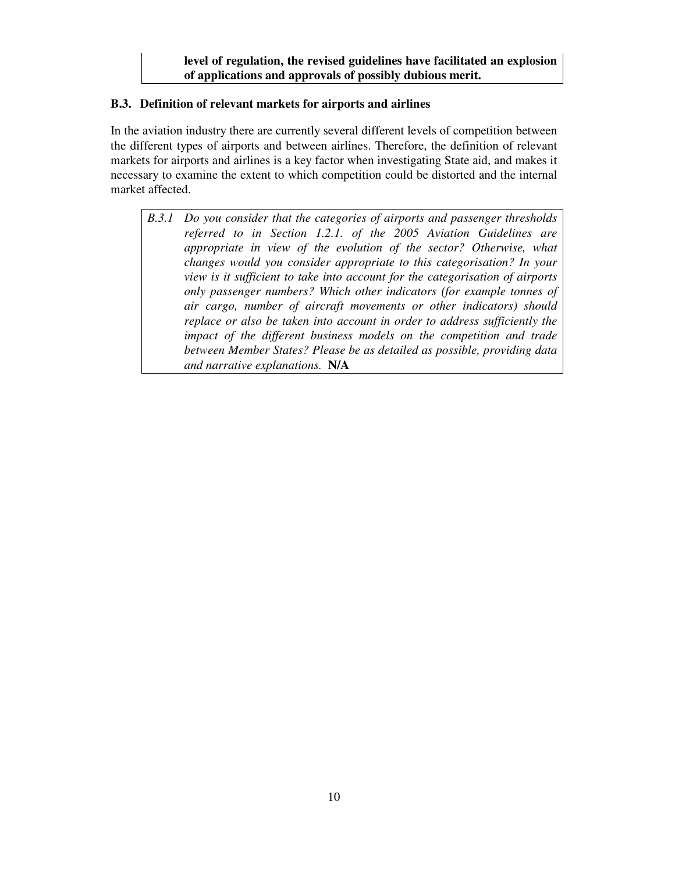## **B.3. Definition of relevant markets for airports and airlines**

In the aviation industry there are currently several different levels of competition between the different types of airports and between airlines. Therefore, the definition of relevant markets for airports and airlines is a key factor when investigating State aid, and makes it necessary to examine the extent to which competition could be distorted and the internal market affected.

*B.3.1 Do you consider that the categories of airports and passenger thresholds referred to in Section 1.2.1. of the 2005 Aviation Guidelines are appropriate in view of the evolution of the sector? Otherwise, what changes would you consider appropriate to this categorisation? In your view is it sufficient to take into account for the categorisation of airports only passenger numbers? Which other indicators (for example tonnes of air cargo, number of aircraft movements or other indicators) should replace or also be taken into account in order to address sufficiently the impact of the different business models on the competition and trade between Member States? Please be as detailed as possible, providing data and narrative explanations.* **N/A**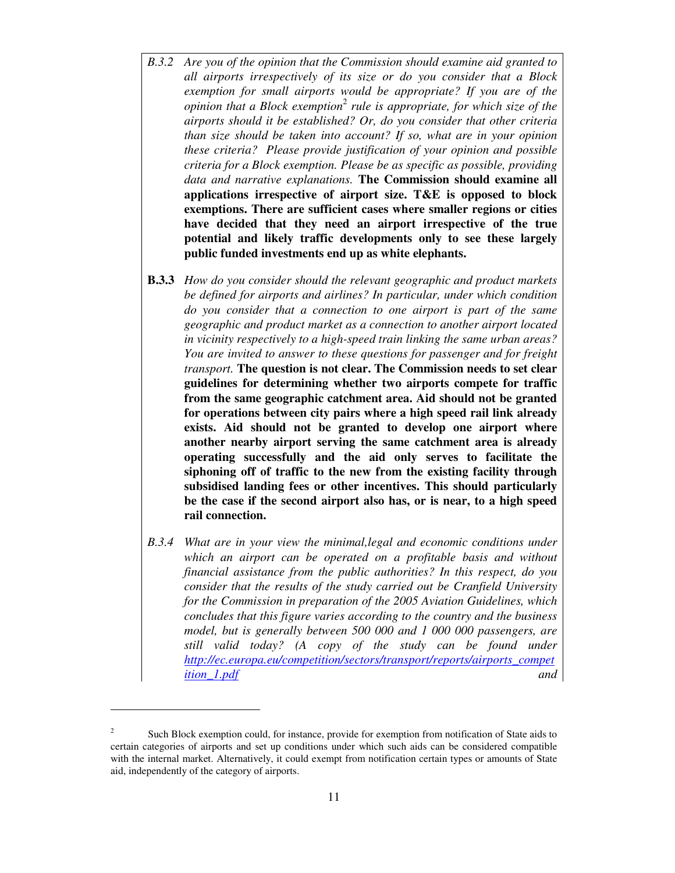- *B.3.2 Are you of the opinion that the Commission should examine aid granted to all airports irrespectively of its size or do you consider that a Block exemption for small airports would be appropriate? If you are of the opinion that a Block exemption*<sup>2</sup> rule is appropriate, for which size of the *airports should it be established? Or, do you consider that other criteria than size should be taken into account? If so, what are in your opinion these criteria? Please provide justification of your opinion and possible criteria for a Block exemption. Please be as specific as possible, providing data and narrative explanations.* **The Commission should examine all applications irrespective of airport size. T&E is opposed to block exemptions. There are sufficient cases where smaller regions or cities have decided that they need an airport irrespective of the true potential and likely traffic developments only to see these largely public funded investments end up as white elephants.**
- **B.3.3** *How do you consider should the relevant geographic and product markets be defined for airports and airlines? In particular, under which condition do you consider that a connection to one airport is part of the same geographic and product market as a connection to another airport located in vicinity respectively to a high-speed train linking the same urban areas? You are invited to answer to these questions for passenger and for freight transport.* **The question is not clear. The Commission needs to set clear guidelines for determining whether two airports compete for traffic from the same geographic catchment area. Aid should not be granted for operations between city pairs where a high speed rail link already exists. Aid should not be granted to develop one airport where another nearby airport serving the same catchment area is already operating successfully and the aid only serves to facilitate the siphoning off of traffic to the new from the existing facility through subsidised landing fees or other incentives. This should particularly be the case if the second airport also has, or is near, to a high speed rail connection.**
- *B.3.4 What are in your view the minimal,legal and economic conditions under*  which an airport can be operated on a profitable basis and without *financial assistance from the public authorities? In this respect, do you consider that the results of the study carried out be Cranfield University for the Commission in preparation of the 2005 Aviation Guidelines, which concludes that this figure varies according to the country and the business model, but is generally between 500 000 and 1 000 000 passengers, are still valid today? (A copy of the study can be found under http://ec.europa.eu/competition/sectors/transport/reports/airports\_compet ition\_1.pdf and*

-

<sup>2</sup> Such Block exemption could, for instance, provide for exemption from notification of State aids to certain categories of airports and set up conditions under which such aids can be considered compatible with the internal market. Alternatively, it could exempt from notification certain types or amounts of State aid, independently of the category of airports.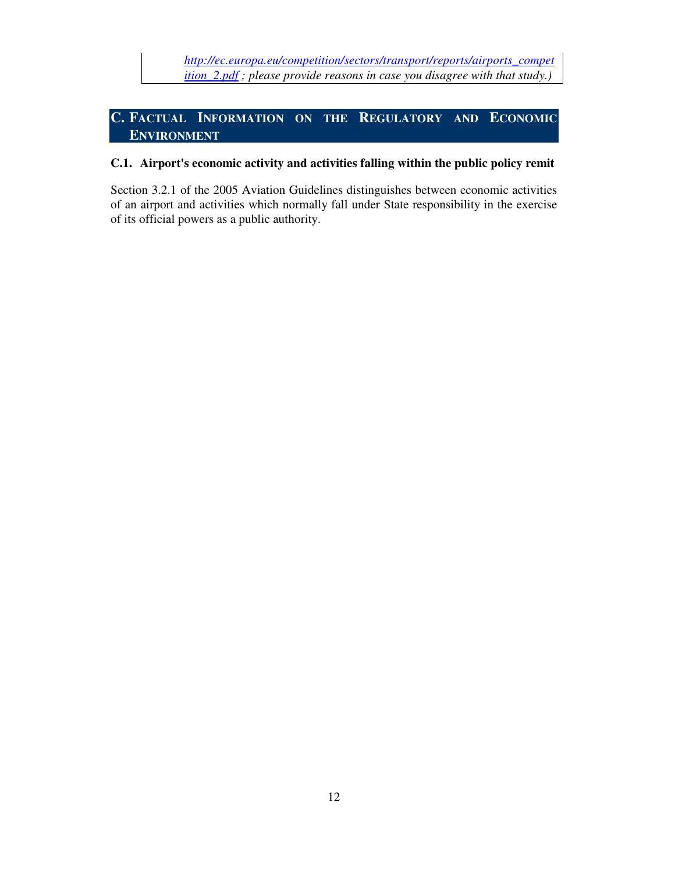# **C. FACTUAL INFORMATION ON THE REGULATORY AND ECONOMIC ENVIRONMENT**

## **C.1. Airport's economic activity and activities falling within the public policy remit**

Section 3.2.1 of the 2005 Aviation Guidelines distinguishes between economic activities of an airport and activities which normally fall under State responsibility in the exercise of its official powers as a public authority.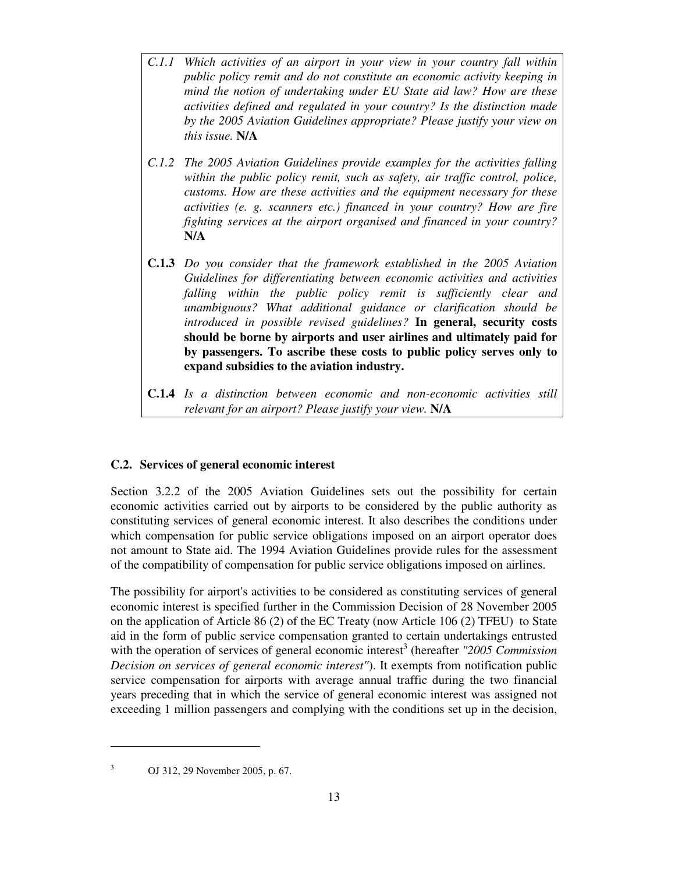- *C.1.1 Which activities of an airport in your view in your country fall within public policy remit and do not constitute an economic activity keeping in mind the notion of undertaking under EU State aid law? How are these activities defined and regulated in your country? Is the distinction made by the 2005 Aviation Guidelines appropriate? Please justify your view on this issue.* **N/A**
- *C.1.2 The 2005 Aviation Guidelines provide examples for the activities falling within the public policy remit, such as safety, air traffic control, police, customs. How are these activities and the equipment necessary for these activities (e. g. scanners etc.) financed in your country? How are fire fighting services at the airport organised and financed in your country?*  **N/A**
- **C.1.3** *Do you consider that the framework established in the 2005 Aviation Guidelines for differentiating between economic activities and activities falling within the public policy remit is sufficiently clear and unambiguous? What additional guidance or clarification should be introduced in possible revised guidelines?* **In general, security costs should be borne by airports and user airlines and ultimately paid for by passengers. To ascribe these costs to public policy serves only to expand subsidies to the aviation industry.**
- **C.1.4** *Is a distinction between economic and non-economic activities still relevant for an airport? Please justify your view.* **N/A**

### **C.2. Services of general economic interest**

Section 3.2.2 of the 2005 Aviation Guidelines sets out the possibility for certain economic activities carried out by airports to be considered by the public authority as constituting services of general economic interest. It also describes the conditions under which compensation for public service obligations imposed on an airport operator does not amount to State aid. The 1994 Aviation Guidelines provide rules for the assessment of the compatibility of compensation for public service obligations imposed on airlines.

The possibility for airport's activities to be considered as constituting services of general economic interest is specified further in the Commission Decision of 28 November 2005 on the application of Article 86 (2) of the EC Treaty (now Article 106 (2) TFEU) to State aid in the form of public service compensation granted to certain undertakings entrusted with the operation of services of general economic interest<sup>3</sup> (hereafter "2005 Commission *Decision on services of general economic interest"*). It exempts from notification public service compensation for airports with average annual traffic during the two financial years preceding that in which the service of general economic interest was assigned not exceeding 1 million passengers and complying with the conditions set up in the decision,

OJ 312, 29 November 2005, p. 67.

-3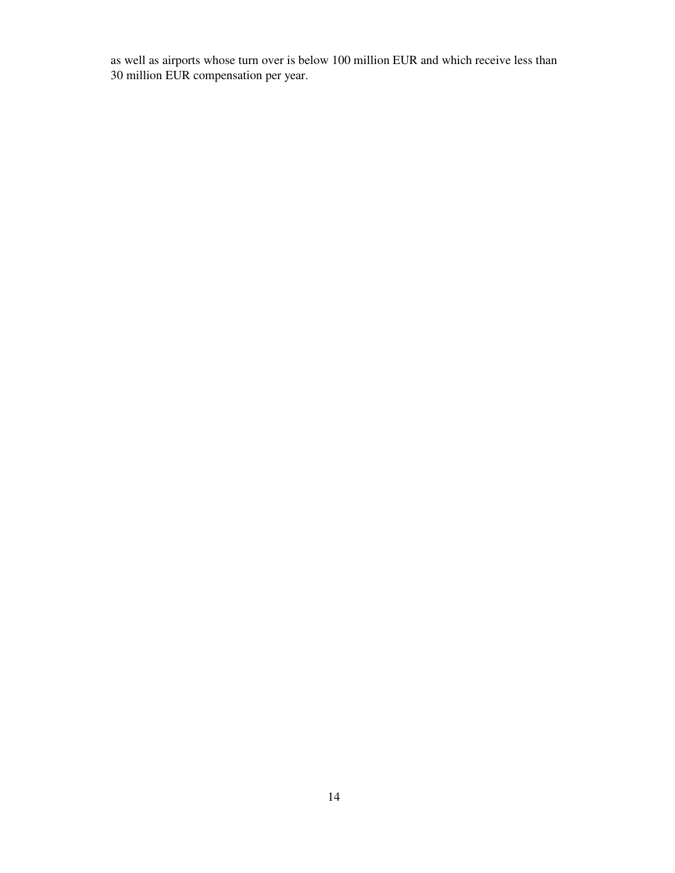as well as airports whose turn over is below 100 million EUR and which receive less than 30 million EUR compensation per year.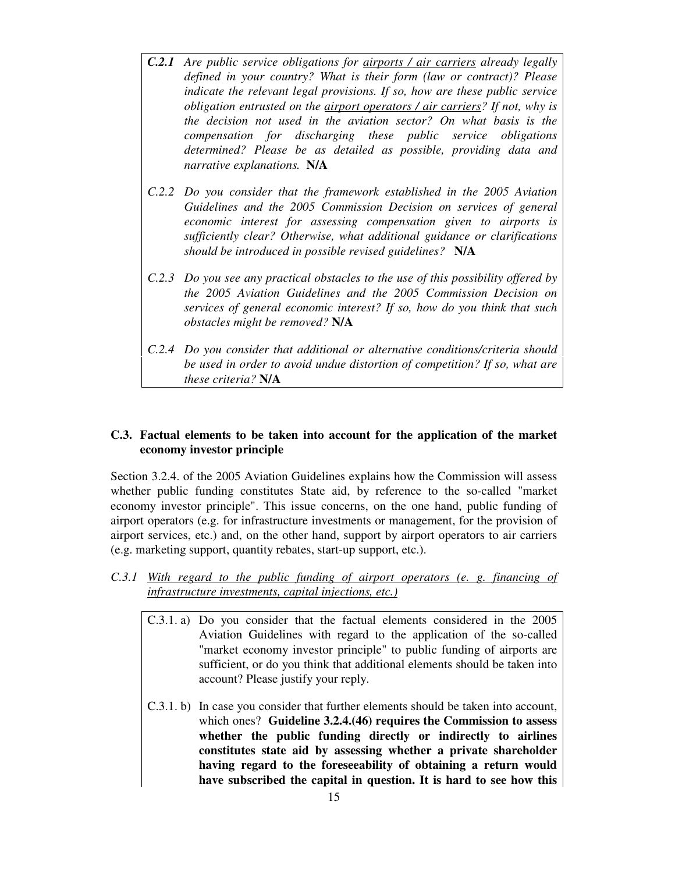- *C.2.1 Are public service obligations for airports / air carriers already legally defined in your country? What is their form (law or contract)? Please indicate the relevant legal provisions. If so, how are these public service obligation entrusted on the airport operators / air carriers? If not, why is the decision not used in the aviation sector? On what basis is the compensation for discharging these public service obligations determined? Please be as detailed as possible, providing data and narrative explanations.* **N/A**
- *C.2.2 Do you consider that the framework established in the 2005 Aviation Guidelines and the 2005 Commission Decision on services of general economic interest for assessing compensation given to airports is sufficiently clear? Otherwise, what additional guidance or clarifications should be introduced in possible revised guidelines?* **N/A**
- *C.2.3 Do you see any practical obstacles to the use of this possibility offered by the 2005 Aviation Guidelines and the 2005 Commission Decision on services of general economic interest? If so, how do you think that such obstacles might be removed?* **N/A**
- *C.2.4 Do you consider that additional or alternative conditions/criteria should be used in order to avoid undue distortion of competition? If so, what are these criteria?* **N/A**

## **C.3. Factual elements to be taken into account for the application of the market economy investor principle**

Section 3.2.4. of the 2005 Aviation Guidelines explains how the Commission will assess whether public funding constitutes State aid, by reference to the so-called "market economy investor principle". This issue concerns, on the one hand, public funding of airport operators (e.g. for infrastructure investments or management, for the provision of airport services, etc.) and, on the other hand, support by airport operators to air carriers (e.g. marketing support, quantity rebates, start-up support, etc.).

- *C.3.1 With regard to the public funding of airport operators (e. g. financing of infrastructure investments, capital injections, etc.)* 
	- C.3.1. a) Do you consider that the factual elements considered in the 2005 Aviation Guidelines with regard to the application of the so-called "market economy investor principle" to public funding of airports are sufficient, or do you think that additional elements should be taken into account? Please justify your reply.
	- C.3.1. b) In case you consider that further elements should be taken into account, which ones? **Guideline 3.2.4.(46) requires the Commission to assess whether the public funding directly or indirectly to airlines constitutes state aid by assessing whether a private shareholder having regard to the foreseeability of obtaining a return would have subscribed the capital in question. It is hard to see how this**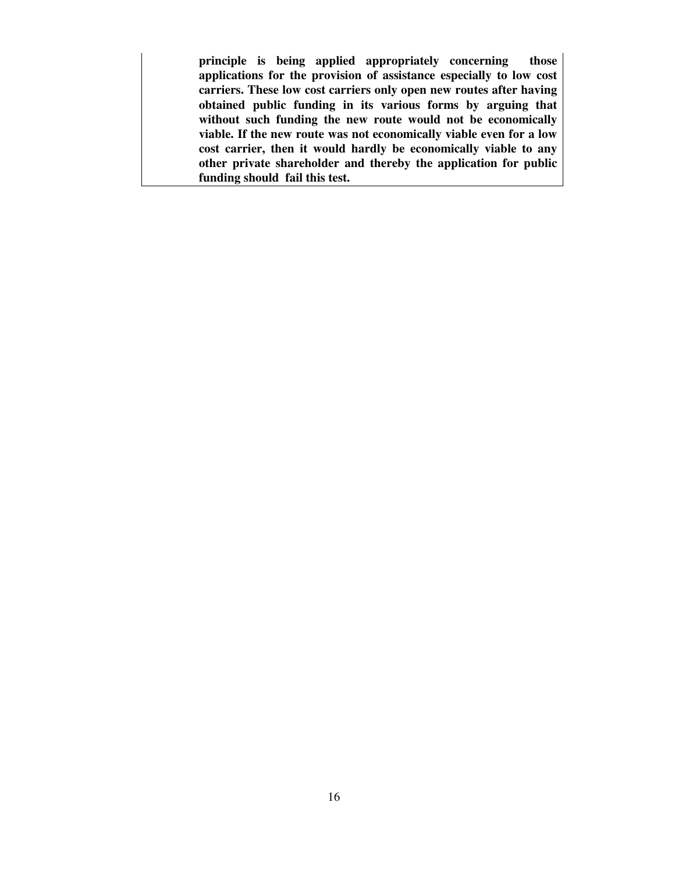**principle is being applied appropriately concerning those applications for the provision of assistance especially to low cost carriers. These low cost carriers only open new routes after having obtained public funding in its various forms by arguing that without such funding the new route would not be economically viable. If the new route was not economically viable even for a low cost carrier, then it would hardly be economically viable to any other private shareholder and thereby the application for public funding should fail this test.**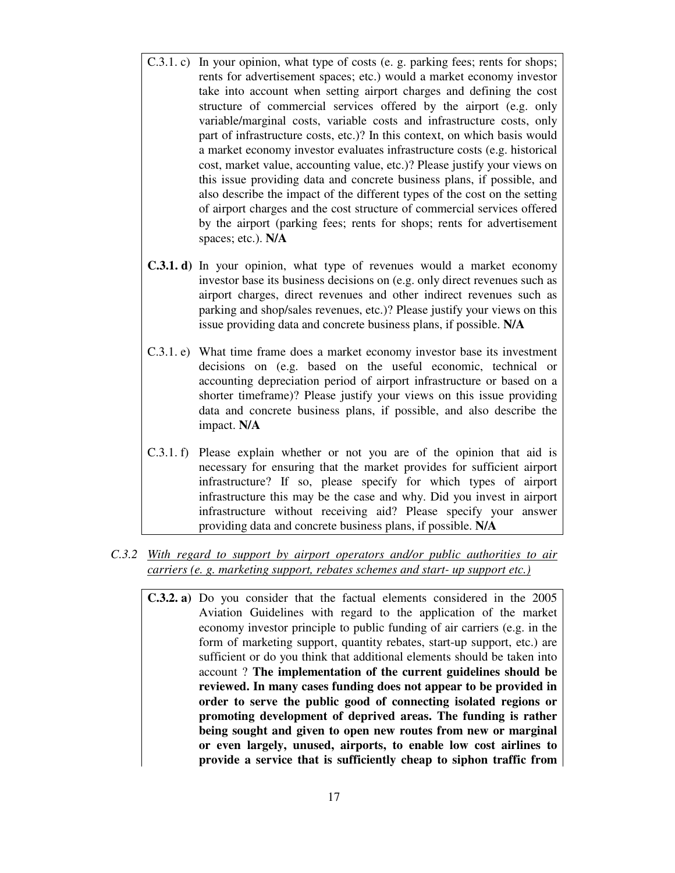- C.3.1. c) In your opinion, what type of costs (e. g. parking fees; rents for shops; rents for advertisement spaces; etc.) would a market economy investor take into account when setting airport charges and defining the cost structure of commercial services offered by the airport (e.g. only variable/marginal costs, variable costs and infrastructure costs, only part of infrastructure costs, etc.)? In this context, on which basis would a market economy investor evaluates infrastructure costs (e.g. historical cost, market value, accounting value, etc.)? Please justify your views on this issue providing data and concrete business plans, if possible, and also describe the impact of the different types of the cost on the setting of airport charges and the cost structure of commercial services offered by the airport (parking fees; rents for shops; rents for advertisement spaces; etc.). **N/A**
- **C.3.1. d)** In your opinion, what type of revenues would a market economy investor base its business decisions on (e.g. only direct revenues such as airport charges, direct revenues and other indirect revenues such as parking and shop/sales revenues, etc.)? Please justify your views on this issue providing data and concrete business plans, if possible. **N/A**
- C.3.1. e) What time frame does a market economy investor base its investment decisions on (e.g. based on the useful economic, technical or accounting depreciation period of airport infrastructure or based on a shorter timeframe)? Please justify your views on this issue providing data and concrete business plans, if possible, and also describe the impact. **N/A**
- C.3.1. f) Please explain whether or not you are of the opinion that aid is necessary for ensuring that the market provides for sufficient airport infrastructure? If so, please specify for which types of airport infrastructure this may be the case and why. Did you invest in airport infrastructure without receiving aid? Please specify your answer providing data and concrete business plans, if possible. **N/A**
- *C.3.2 With regard to support by airport operators and/or public authorities to air carriers (e. g. marketing support, rebates schemes and start- up support etc.)* 
	- **C.3.2. a)** Do you consider that the factual elements considered in the 2005 Aviation Guidelines with regard to the application of the market economy investor principle to public funding of air carriers (e.g. in the form of marketing support, quantity rebates, start-up support, etc.) are sufficient or do you think that additional elements should be taken into account ? **The implementation of the current guidelines should be reviewed. In many cases funding does not appear to be provided in order to serve the public good of connecting isolated regions or promoting development of deprived areas. The funding is rather being sought and given to open new routes from new or marginal or even largely, unused, airports, to enable low cost airlines to provide a service that is sufficiently cheap to siphon traffic from**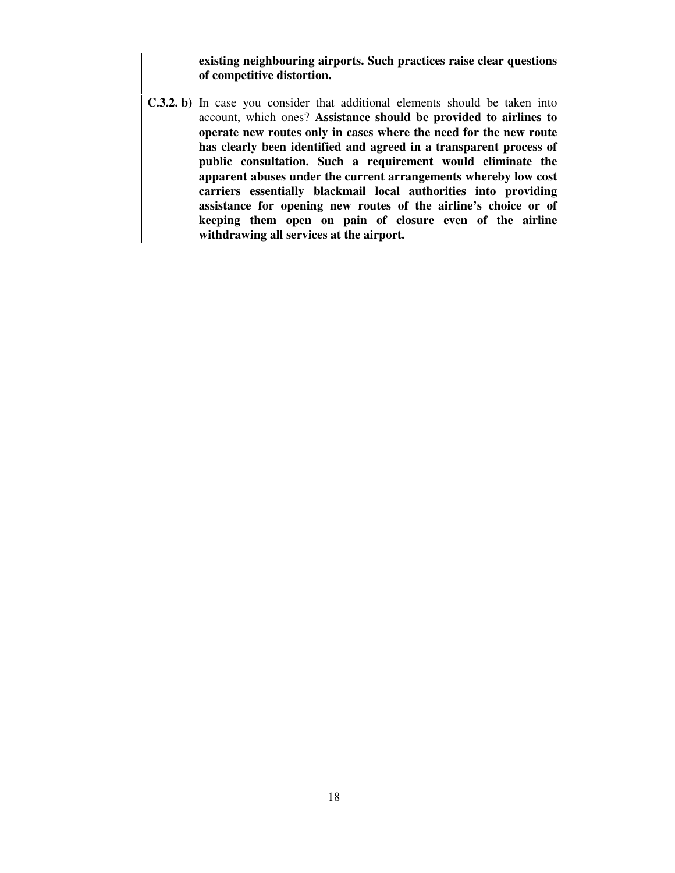**existing neighbouring airports. Such practices raise clear questions of competitive distortion.** 

**C.3.2. b)** In case you consider that additional elements should be taken into account, which ones? **Assistance should be provided to airlines to operate new routes only in cases where the need for the new route has clearly been identified and agreed in a transparent process of public consultation. Such a requirement would eliminate the apparent abuses under the current arrangements whereby low cost carriers essentially blackmail local authorities into providing assistance for opening new routes of the airline's choice or of keeping them open on pain of closure even of the airline withdrawing all services at the airport.**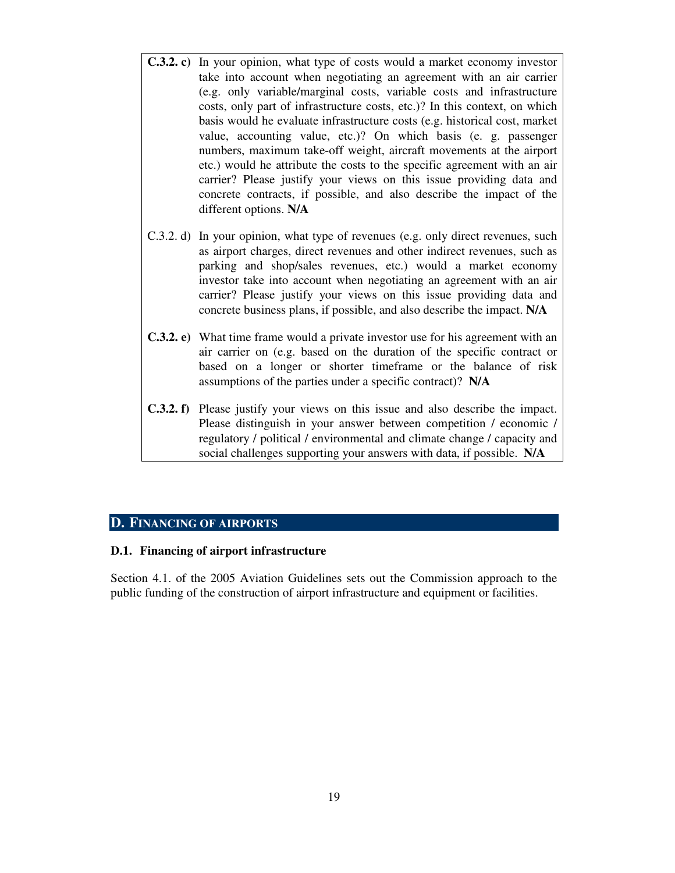- **C.3.2. c)** In your opinion, what type of costs would a market economy investor take into account when negotiating an agreement with an air carrier (e.g. only variable/marginal costs, variable costs and infrastructure costs, only part of infrastructure costs, etc.)? In this context, on which basis would he evaluate infrastructure costs (e.g. historical cost, market value, accounting value, etc.)? On which basis (e. g. passenger numbers, maximum take-off weight, aircraft movements at the airport etc.) would he attribute the costs to the specific agreement with an air carrier? Please justify your views on this issue providing data and concrete contracts, if possible, and also describe the impact of the different options. **N/A**
- C.3.2. d) In your opinion, what type of revenues (e.g. only direct revenues, such as airport charges, direct revenues and other indirect revenues, such as parking and shop/sales revenues, etc.) would a market economy investor take into account when negotiating an agreement with an air carrier? Please justify your views on this issue providing data and concrete business plans, if possible, and also describe the impact. **N/A**
- **C.3.2. e)** What time frame would a private investor use for his agreement with an air carrier on (e.g. based on the duration of the specific contract or based on a longer or shorter timeframe or the balance of risk assumptions of the parties under a specific contract)? **N/A**
- **C.3.2. f)** Please justify your views on this issue and also describe the impact. Please distinguish in your answer between competition / economic / regulatory / political / environmental and climate change / capacity and social challenges supporting your answers with data, if possible. **N/A**

### **D. FINANCING OF AIRPORTS**

#### **D.1. Financing of airport infrastructure**

Section 4.1. of the 2005 Aviation Guidelines sets out the Commission approach to the public funding of the construction of airport infrastructure and equipment or facilities.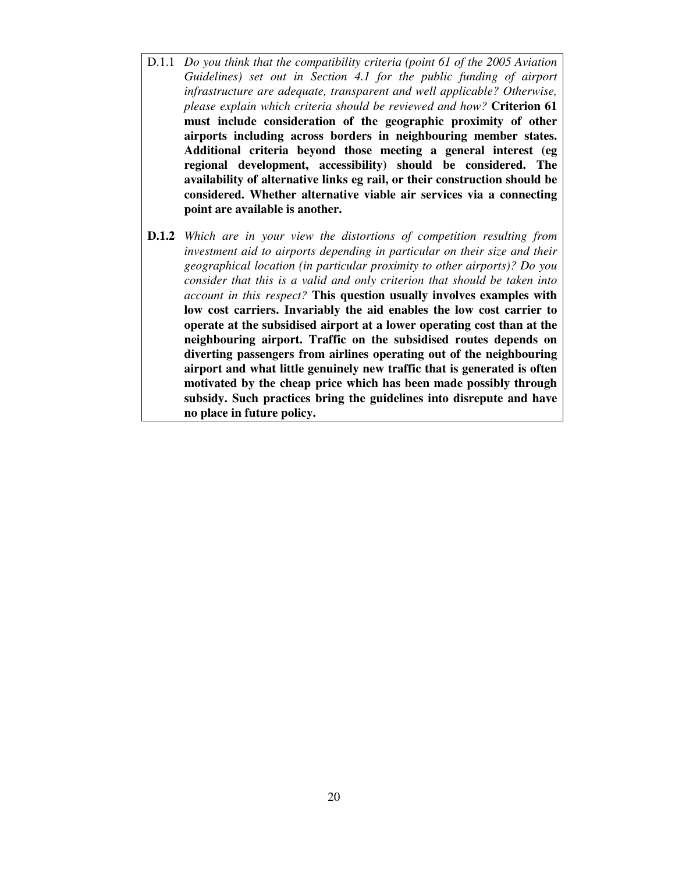- D.1.1 *Do you think that the compatibility criteria (point 61 of the 2005 Aviation Guidelines) set out in Section 4.1 for the public funding of airport infrastructure are adequate, transparent and well applicable? Otherwise, please explain which criteria should be reviewed and how?* **Criterion 61 must include consideration of the geographic proximity of other airports including across borders in neighbouring member states. Additional criteria beyond those meeting a general interest (eg regional development, accessibility) should be considered. The availability of alternative links eg rail, or their construction should be considered. Whether alternative viable air services via a connecting point are available is another.**
- **D.1.2** *Which are in your view the distortions of competition resulting from investment aid to airports depending in particular on their size and their geographical location (in particular proximity to other airports)? Do you consider that this is a valid and only criterion that should be taken into account in this respect?* **This question usually involves examples with low cost carriers. Invariably the aid enables the low cost carrier to operate at the subsidised airport at a lower operating cost than at the neighbouring airport. Traffic on the subsidised routes depends on diverting passengers from airlines operating out of the neighbouring airport and what little genuinely new traffic that is generated is often motivated by the cheap price which has been made possibly through subsidy. Such practices bring the guidelines into disrepute and have no place in future policy.**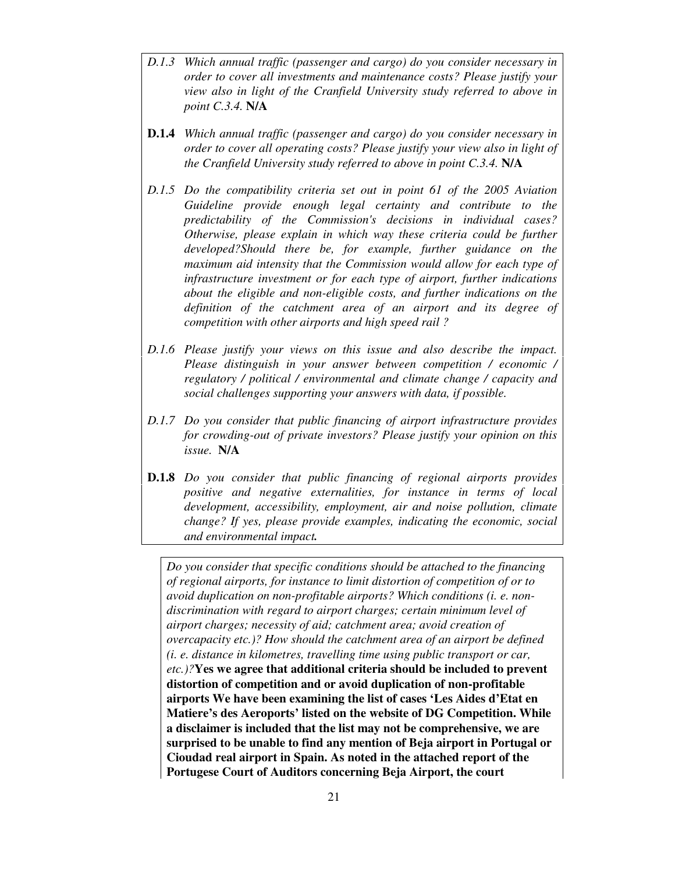- *D.1.3 Which annual traffic (passenger and cargo) do you consider necessary in order to cover all investments and maintenance costs? Please justify your view also in light of the Cranfield University study referred to above in point C.3.4.* **N/A**
- **D.1.4** *Which annual traffic (passenger and cargo) do you consider necessary in order to cover all operating costs? Please justify your view also in light of the Cranfield University study referred to above in point C.3.4.* **N/A**
- *D.1.5 Do the compatibility criteria set out in point 61 of the 2005 Aviation Guideline provide enough legal certainty and contribute to the predictability of the Commission's decisions in individual cases? Otherwise, please explain in which way these criteria could be further developed?Should there be, for example, further guidance on the maximum aid intensity that the Commission would allow for each type of infrastructure investment or for each type of airport, further indications about the eligible and non-eligible costs, and further indications on the definition of the catchment area of an airport and its degree of competition with other airports and high speed rail ?*
- *D.1.6 Please justify your views on this issue and also describe the impact. Please distinguish in your answer between competition / economic / regulatory / political / environmental and climate change / capacity and social challenges supporting your answers with data, if possible.*
- *D.1.7 Do you consider that public financing of airport infrastructure provides for crowding-out of private investors? Please justify your opinion on this issue.* **N/A**
- **D.1.8** *Do you consider that public financing of regional airports provides positive and negative externalities, for instance in terms of local development, accessibility, employment, air and noise pollution, climate change? If yes, please provide examples, indicating the economic, social and environmental impact.*

*Do you consider that specific conditions should be attached to the financing of regional airports, for instance to limit distortion of competition of or to avoid duplication on non-profitable airports? Which conditions (i. e. nondiscrimination with regard to airport charges; certain minimum level of airport charges; necessity of aid; catchment area; avoid creation of overcapacity etc.)? How should the catchment area of an airport be defined (i. e. distance in kilometres, travelling time using public transport or car, etc.)?***Yes we agree that additional criteria should be included to prevent distortion of competition and or avoid duplication of non-profitable airports We have been examining the list of cases 'Les Aides d'Etat en Matiere's des Aeroports' listed on the website of DG Competition. While a disclaimer is included that the list may not be comprehensive, we are surprised to be unable to find any mention of Beja airport in Portugal or Cioudad real airport in Spain. As noted in the attached report of the Portugese Court of Auditors concerning Beja Airport, the court**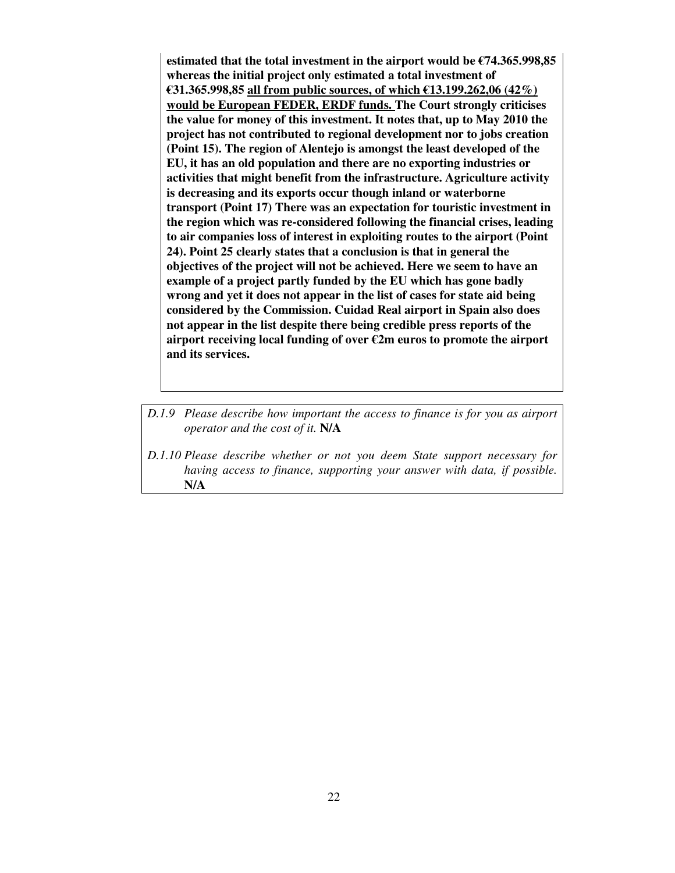**estimated that the total investment in the airport would be €74.365.998,85 whereas the initial project only estimated a total investment of €31.365.998,85 all from public sources, of which €13.199.262,06 (42%) would be European FEDER, ERDF funds. The Court strongly criticises the value for money of this investment. It notes that, up to May 2010 the project has not contributed to regional development nor to jobs creation (Point 15). The region of Alentejo is amongst the least developed of the EU, it has an old population and there are no exporting industries or activities that might benefit from the infrastructure. Agriculture activity is decreasing and its exports occur though inland or waterborne transport (Point 17) There was an expectation for touristic investment in the region which was re-considered following the financial crises, leading to air companies loss of interest in exploiting routes to the airport (Point 24). Point 25 clearly states that a conclusion is that in general the objectives of the project will not be achieved. Here we seem to have an example of a project partly funded by the EU which has gone badly wrong and yet it does not appear in the list of cases for state aid being considered by the Commission. Cuidad Real airport in Spain also does not appear in the list despite there being credible press reports of the airport receiving local funding of over €2m euros to promote the airport and its services.** 

- *D.1.9 Please describe how important the access to finance is for you as airport operator and the cost of it.* **N/A**
- *D.1.10 Please describe whether or not you deem State support necessary for having access to finance, supporting your answer with data, if possible.*  **N/A**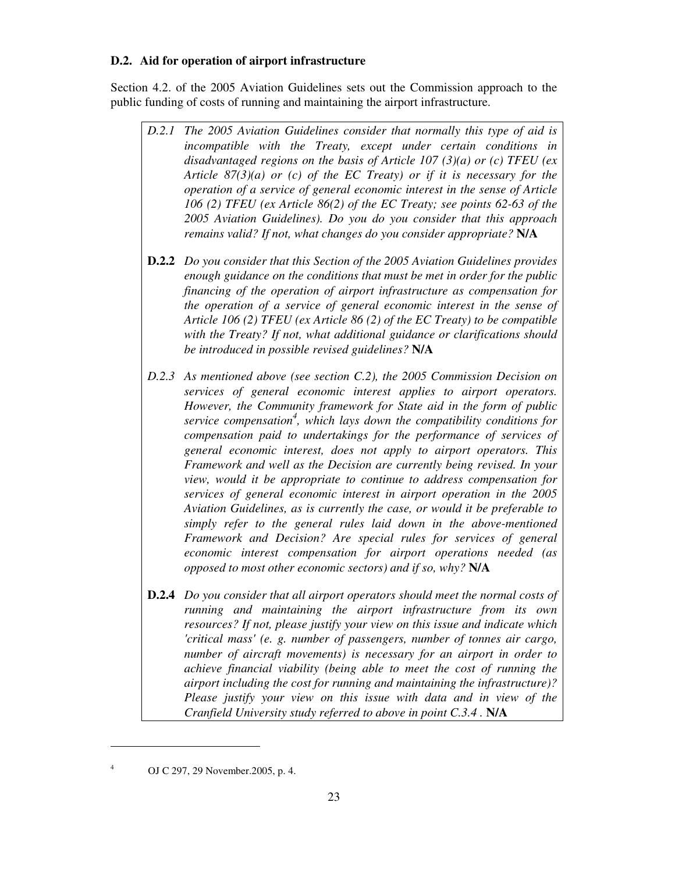### **D.2. Aid for operation of airport infrastructure**

Section 4.2. of the 2005 Aviation Guidelines sets out the Commission approach to the public funding of costs of running and maintaining the airport infrastructure.

- *D.2.1 The 2005 Aviation Guidelines consider that normally this type of aid is incompatible with the Treaty, except under certain conditions in disadvantaged regions on the basis of Article 107 (3)(a) or (c) TFEU (ex Article 87(3)(a) or (c) of the EC Treaty) or if it is necessary for the operation of a service of general economic interest in the sense of Article 106 (2) TFEU (ex Article 86(2) of the EC Treaty; see points 62-63 of the 2005 Aviation Guidelines). Do you do you consider that this approach remains valid? If not, what changes do you consider appropriate?* **N/A**
- **D.2.2** *Do you consider that this Section of the 2005 Aviation Guidelines provides enough guidance on the conditions that must be met in order for the public financing of the operation of airport infrastructure as compensation for the operation of a service of general economic interest in the sense of Article 106 (2) TFEU (ex Article 86 (2) of the EC Treaty) to be compatible with the Treaty? If not, what additional guidance or clarifications should be introduced in possible revised guidelines?* **N/A**
- *D.2.3 As mentioned above (see section C.2), the 2005 Commission Decision on services of general economic interest applies to airport operators. However, the Community framework for State aid in the form of public service compensation<sup>4</sup> , which lays down the compatibility conditions for compensation paid to undertakings for the performance of services of general economic interest, does not apply to airport operators. This Framework and well as the Decision are currently being revised. In your view, would it be appropriate to continue to address compensation for services of general economic interest in airport operation in the 2005 Aviation Guidelines, as is currently the case, or would it be preferable to simply refer to the general rules laid down in the above-mentioned Framework and Decision? Are special rules for services of general economic interest compensation for airport operations needed (as opposed to most other economic sectors) and if so, why?* **N/A**
- **D.2.4** *Do you consider that all airport operators should meet the normal costs of running and maintaining the airport infrastructure from its own resources? If not, please justify your view on this issue and indicate which 'critical mass' (e. g. number of passengers, number of tonnes air cargo, number of aircraft movements) is necessary for an airport in order to achieve financial viability (being able to meet the cost of running the airport including the cost for running and maintaining the infrastructure)? Please justify your view on this issue with data and in view of the Cranfield University study referred to above in point C.3.4 . N/A*

-4

OJ C 297, 29 November.2005, p. 4.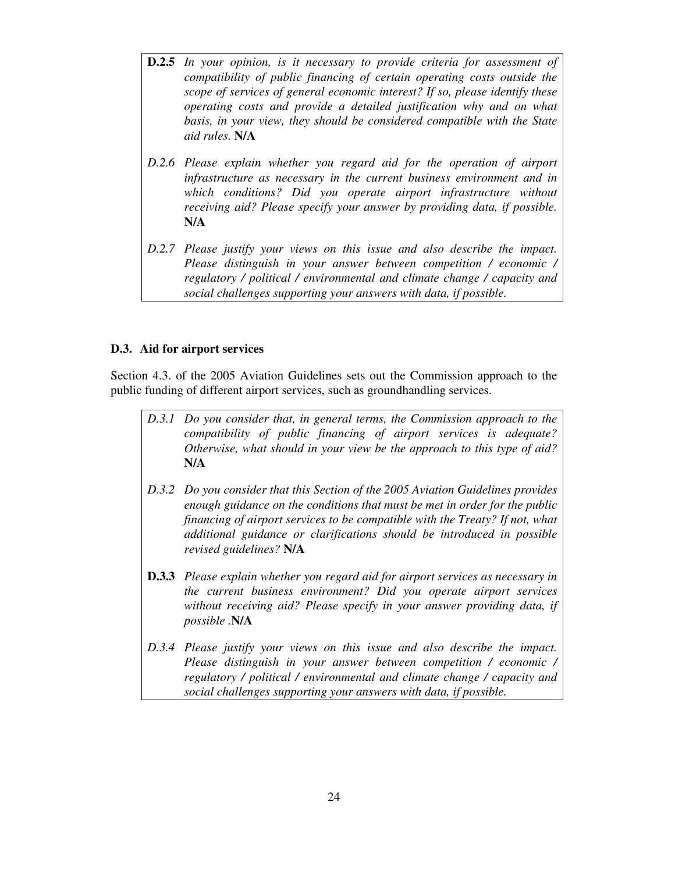- **D.2.5** *In your opinion, is it necessary to provide criteria for assessment of compatibility of public financing of certain operating costs outside the scope of services of general economic interest? If so, please identify these operating costs and provide a detailed justification why and on what basis, in your view, they should be considered compatible with the State aid rules.* **N/A**
- *D.2.6 Please explain whether you regard aid for the operation of airport infrastructure as necessary in the current business environment and in which conditions? Did you operate airport infrastructure without receiving aid? Please specify your answer by providing data, if possible.*  **N/A**
- *D.2.7 Please justify your views on this issue and also describe the impact. Please distinguish in your answer between competition / economic / regulatory / political / environmental and climate change / capacity and social challenges supporting your answers with data, if possible.*

#### **D.3. Aid for airport services**

Section 4.3. of the 2005 Aviation Guidelines sets out the Commission approach to the public funding of different airport services, such as groundhandling services.

- *D.3.1 Do you consider that, in general terms, the Commission approach to the compatibility of public financing of airport services is adequate? Otherwise, what should in your view be the approach to this type of aid?*  **N/A**
- *D.3.2 Do you consider that this Section of the 2005 Aviation Guidelines provides enough guidance on the conditions that must be met in order for the public financing of airport services to be compatible with the Treaty? If not, what additional guidance or clarifications should be introduced in possible revised guidelines?* **N/A**
- **D.3.3** *Please explain whether you regard aid for airport services as necessary in the current business environment? Did you operate airport services without receiving aid? Please specify in your answer providing data, if possible .***N/A**
- *D.3.4 Please justify your views on this issue and also describe the impact. Please distinguish in your answer between competition / economic / regulatory / political / environmental and climate change / capacity and social challenges supporting your answers with data, if possible.*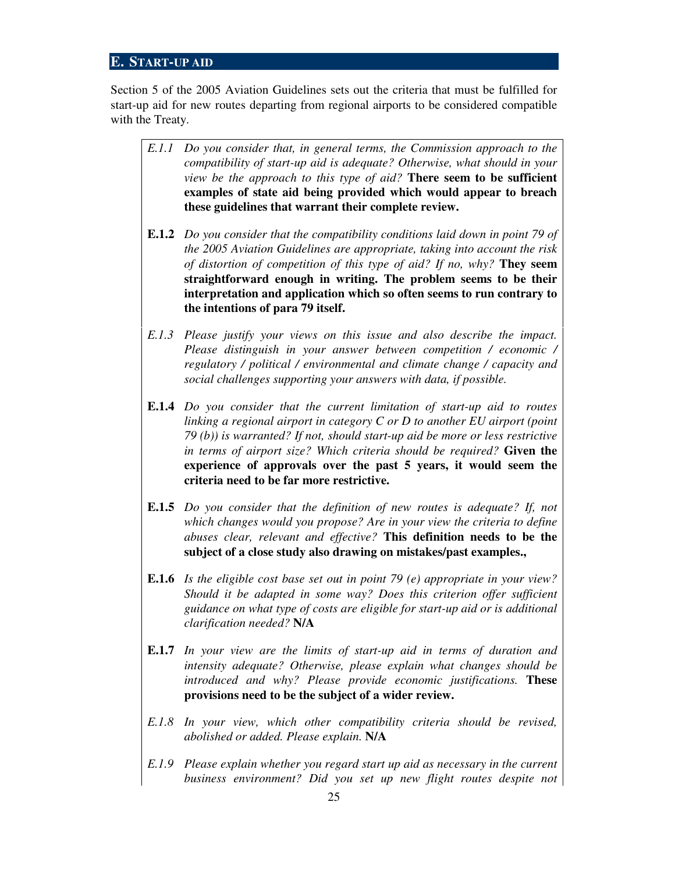## **E. START-UP AID**

Section 5 of the 2005 Aviation Guidelines sets out the criteria that must be fulfilled for start-up aid for new routes departing from regional airports to be considered compatible with the Treaty.

- *E.1.1 Do you consider that, in general terms, the Commission approach to the compatibility of start-up aid is adequate? Otherwise, what should in your view be the approach to this type of aid?* **There seem to be sufficient examples of state aid being provided which would appear to breach these guidelines that warrant their complete review.**
- **E.1.2** *Do you consider that the compatibility conditions laid down in point 79 of the 2005 Aviation Guidelines are appropriate, taking into account the risk of distortion of competition of this type of aid? If no, why?* **They seem straightforward enough in writing. The problem seems to be their interpretation and application which so often seems to run contrary to the intentions of para 79 itself.**
- *E.1.3 Please justify your views on this issue and also describe the impact. Please distinguish in your answer between competition / economic / regulatory / political / environmental and climate change / capacity and social challenges supporting your answers with data, if possible.*
- **E.1.4** *Do you consider that the current limitation of start-up aid to routes linking a regional airport in category C or D to another EU airport (point 79 (b)) is warranted? If not, should start-up aid be more or less restrictive in terms of airport size? Which criteria should be required?* **Given the experience of approvals over the past 5 years, it would seem the criteria need to be far more restrictive.**
- **E.1.5** *Do you consider that the definition of new routes is adequate? If, not which changes would you propose? Are in your view the criteria to define abuses clear, relevant and effective?* **This definition needs to be the subject of a close study also drawing on mistakes/past examples.,**
- **E.1.6** *Is the eligible cost base set out in point 79 (e) appropriate in your view? Should it be adapted in some way? Does this criterion offer sufficient guidance on what type of costs are eligible for start-up aid or is additional clarification needed?* **N/A**
- **E.1.7** *In your view are the limits of start-up aid in terms of duration and intensity adequate? Otherwise, please explain what changes should be introduced and why? Please provide economic justifications.* **These provisions need to be the subject of a wider review.**
- *E.1.8 In your view, which other compatibility criteria should be revised, abolished or added. Please explain.* **N/A**
- *E.1.9 Please explain whether you regard start up aid as necessary in the current business environment? Did you set up new flight routes despite not*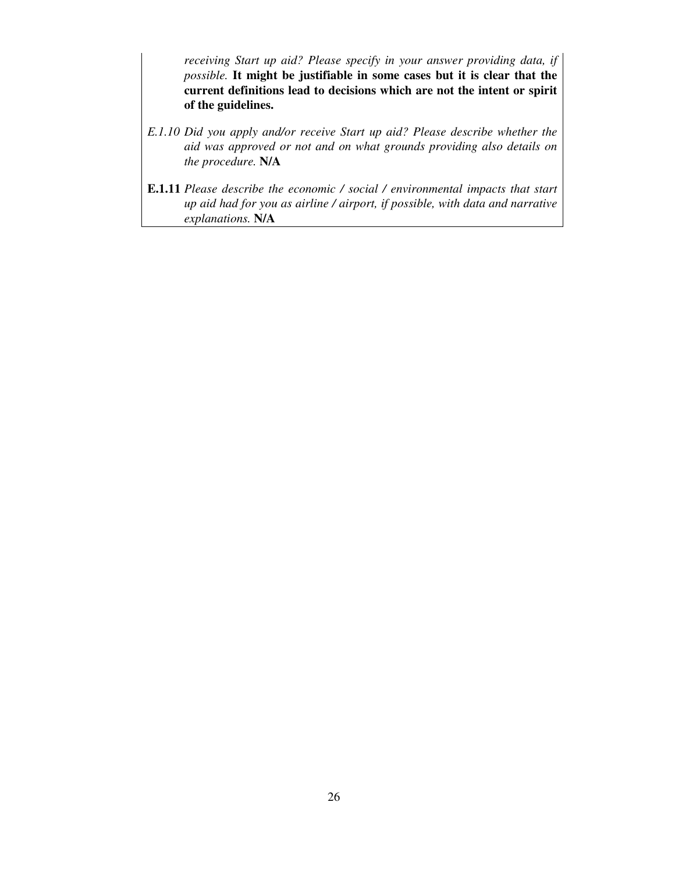*receiving Start up aid? Please specify in your answer providing data, if possible.* **It might be justifiable in some cases but it is clear that the current definitions lead to decisions which are not the intent or spirit of the guidelines.**

- *E.1.10 Did you apply and/or receive Start up aid? Please describe whether the aid was approved or not and on what grounds providing also details on the procedure.* **N/A**
- **E.1.11** *Please describe the economic / social / environmental impacts that start up aid had for you as airline / airport, if possible, with data and narrative explanations.* **N/A**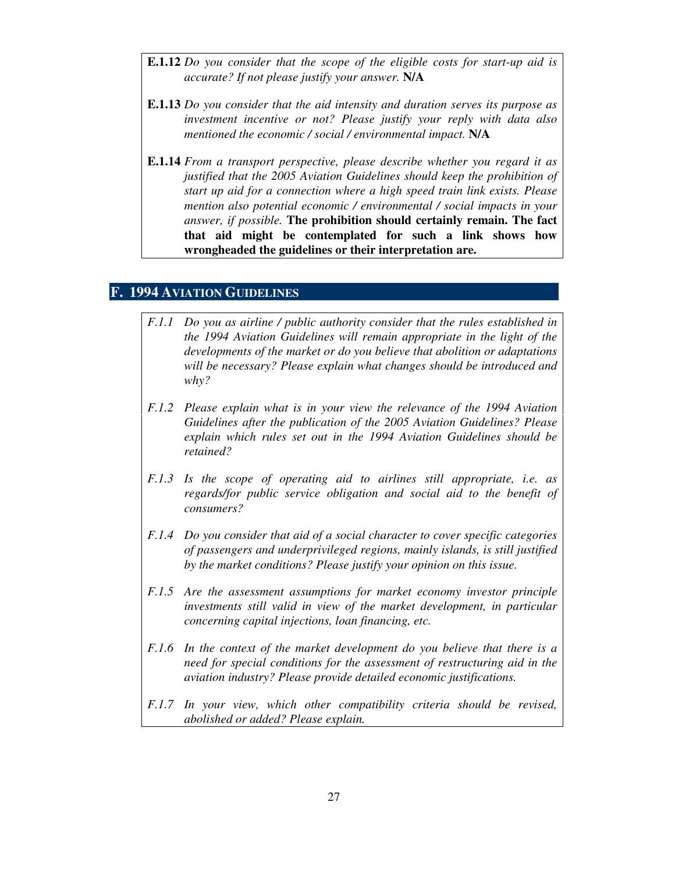- **E.1.12** *Do you consider that the scope of the eligible costs for start-up aid is accurate? If not please justify your answer.* **N/A**
- **E.1.13** *Do you consider that the aid intensity and duration serves its purpose as investment incentive or not? Please justify your reply with data also mentioned the economic / social / environmental impact.* **N/A**
- **E.1.14** *From a transport perspective, please describe whether you regard it as justified that the 2005 Aviation Guidelines should keep the prohibition of start up aid for a connection where a high speed train link exists. Please mention also potential economic / environmental / social impacts in your answer, if possible.* **The prohibition should certainly remain. The fact that aid might be contemplated for such a link shows how wrongheaded the guidelines or their interpretation are.**

## **F. 1994 AVIATION GUIDELINES**

- *F.1.1 Do you as airline / public authority consider that the rules established in the 1994 Aviation Guidelines will remain appropriate in the light of the developments of the market or do you believe that abolition or adaptations will be necessary? Please explain what changes should be introduced and why?*
- *F.1.2 Please explain what is in your view the relevance of the 1994 Aviation Guidelines after the publication of the 2005 Aviation Guidelines? Please explain which rules set out in the 1994 Aviation Guidelines should be retained?*
- *F.1.3 Is the scope of operating aid to airlines still appropriate, i.e. as regards/for public service obligation and social aid to the benefit of consumers?*
- *F.1.4 Do you consider that aid of a social character to cover specific categories of passengers and underprivileged regions, mainly islands, is still justified by the market conditions? Please justify your opinion on this issue.*
- *F.1.5 Are the assessment assumptions for market economy investor principle investments still valid in view of the market development, in particular concerning capital injections, loan financing, etc.*
- *F.1.6 In the context of the market development do you believe that there is a need for special conditions for the assessment of restructuring aid in the aviation industry? Please provide detailed economic justifications.*
- *F.1.7 In your view, which other compatibility criteria should be revised, abolished or added? Please explain.*